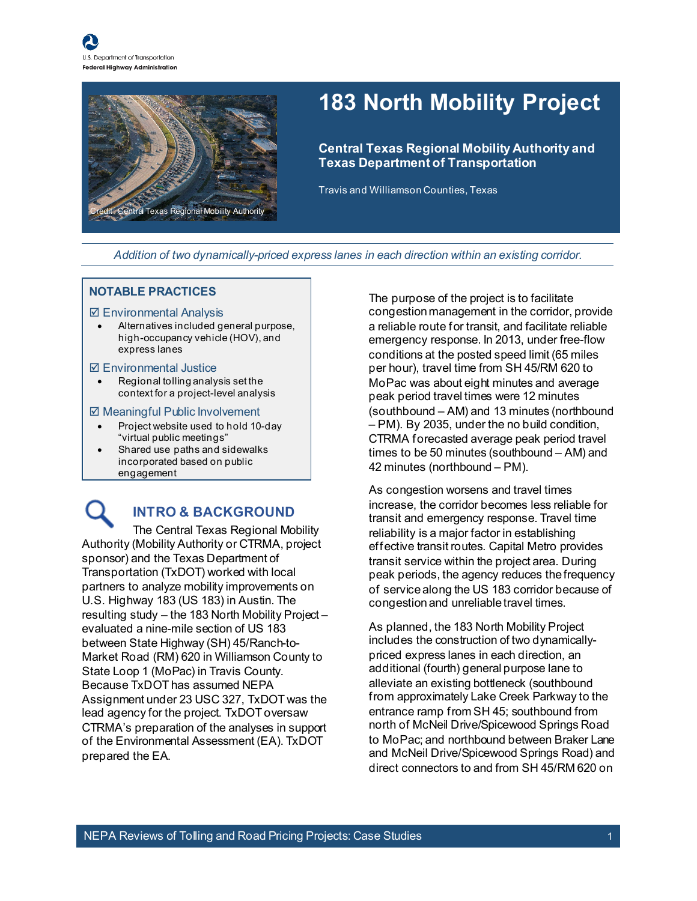

## **183 North Mobility Project**

**Central Texas Regional Mobility Authority and Texas Department of Transportation**

Travis and Williamson Counties, Texas

*Addition of two dynamically-priced express lanes in each direction within an existing corridor.*

#### **NOTABLE PRACTICES**

#### $\boxtimes$  **Environmental Analysis**

• Alternatives included general purpose, high-occupancy vehicle (HOV), and express lanes

#### Environmental Justice

• Regional tolling analysis set the context for a project-level analysis

#### **Ø Meaningful Public Involvement**

- Project website used to hold 10-day "virtual public meetings"
- Shared use paths and sidewalks incorporated based on public engagement

### **INTRO & BACKGROUND**

The Central Texas Regional Mobility Authority (Mobility Authority or CTRMA, project sponsor) and the Texas Department of Transportation (TxDOT) worked with local partners to analyze mobility improvements on U.S. Highway 183 (US 183) in Austin. The resulting study – the 183 North Mobility Project – evaluated a nine-mile section of US 183 between State Highway (SH) 45/Ranch-to-Market Road (RM) 620 in Williamson County to State Loop 1 (MoPac) in Travis County. Because TxDOT has assumed NEPA Assignment under 23 USC 327, TxDOT was the lead agency for the project. TxDOT oversaw CTRMA's preparation of the analyses in support of the Environmental Assessment (EA). TxDOT prepared the EA.

The purpose of the project is to facilitate congestion management in the corridor, provide a reliable route for transit, and facilitate reliable emergency response. In 2013, under free-flow conditions at the posted speed limit (65 miles per hour), travel time from SH 45/RM 620 to MoPac was about eight minutes and average peak period travel times were 12 minutes (southbound – AM) and 13 minutes (northbound – PM). By 2035, under the no build condition, CTRMA forecasted average peak period travel times to be 50 minutes (southbound – AM) and 42 minutes (northbound – PM).

As congestion worsens and travel times increase, the corridor becomes less reliable for transit and emergency response. Travel time reliability is a major factor in establishing effective transit routes. Capital Metro provides transit service within the project area. During peak periods, the agency reduces the frequency of service along the US 183 corridor because of congestion and unreliable travel times.

As planned, the 183 North Mobility Project includes the construction of two dynamicallypriced express lanes in each direction, an additional (fourth) general purpose lane to alleviate an existing bottleneck (southbound from approximately Lake Creek Parkway to the entrance ramp from SH 45; southbound from north of McNeil Drive/Spicewood Springs Road to MoPac; and northbound between Braker Lane and McNeil Drive/Spicewood Springs Road) and direct connectors to and from SH 45/RM 620 on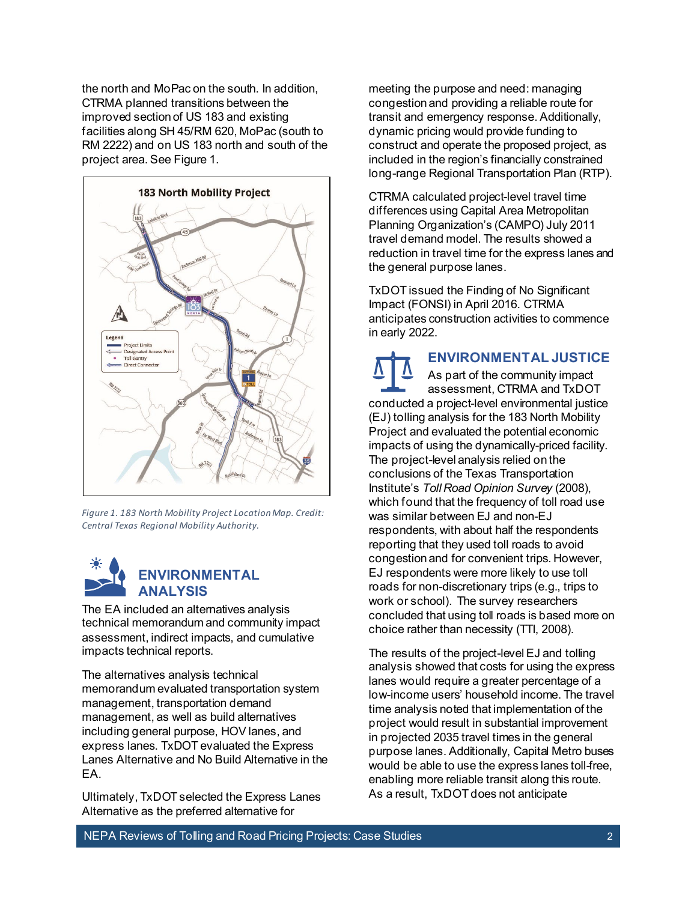the north and MoPac on the south. In addition, CTRMA planned transitions between the improved section of US 183 and existing facilities along SH 45/RM 620, MoPac (south to RM 2222) and on US 183 north and south of the project area. Se[e Figure 1.](#page-1-0)



<span id="page-1-0"></span>*Figure 1. 183 North Mobility Project Location Map. Credit: Central Texas Regional Mobility Authority.* 



The EA included an alternatives analysis technical memorandum and community impact assessment, indirect impacts, and cumulative impacts technical reports.

The alternatives analysis technical memorandum evaluated transportation system management, transportation demand management, as well as build alternatives including general purpose, HOV lanes, and express lanes. TxDOT evaluated the Express Lanes Alternative and No Build Alternative in the EA.

Ultimately, TxDOT selected the Express Lanes Alternative as the preferred alternative for

meeting the purpose and need: managing congestionand providing a reliable route for transit and emergency response. Additionally, dynamic pricing would provide funding to construct and operate the proposed project, as included in the region's financially constrained long-range Regional Transportation Plan (RTP).

CTRMA calculated project-level travel time differences using Capital Area Metropolitan Planning Organization's (CAMPO) July 2011 travel demand model. The results showed a reduction in travel time for the express lanes and the general purpose lanes.

TxDOT issued the Finding of No Significant Impact (FONSI) in April 2016. CTRMA anticipates construction activities to commence in early 2022.

**ENVIRONMENTAL JUSTICE** As part of the community impact assessment, CTRMA and TxDOT conducted a project-level environmental justice (EJ) tolling analysis for the 183 North Mobility Project and evaluated the potential economic impacts of using the dynamically-priced facility. The project-level analysis relied on the conclusions of the Texas Transportation Institute's *Toll Road Opinion Survey* (2008), which found that the frequency of toll road use was similar between EJ and non-EJ respondents, with about half the respondents reporting that they used toll roads to avoid congestion and for convenient trips. However, EJ respondents were more likely to use toll roads for non-discretionary trips (e.g., trips to work or school). The survey researchers concluded that using toll roads is based more on choice rather than necessity (TTI, 2008).

The results of the project-level EJ and tolling analysis showed that costs for using the express lanes would require a greater percentage of a low-income users' household income. The travel time analysis noted that implementation of the project would result in substantial improvement in projected 2035 travel times in the general purpose lanes. Additionally, Capital Metro buses would be able to use the express lanes toll-free, enabling more reliable transit along this route. As a result, TxDOT does not anticipate